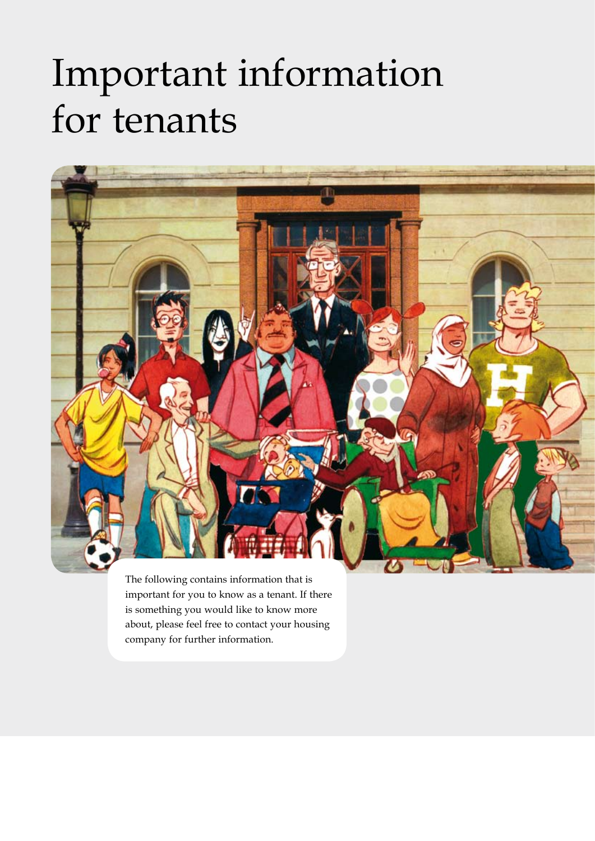# Important information for tenants



The following contains information that is important for you to know as a tenant. If there is something you would like to know more about, please feel free to contact your housing company for further information.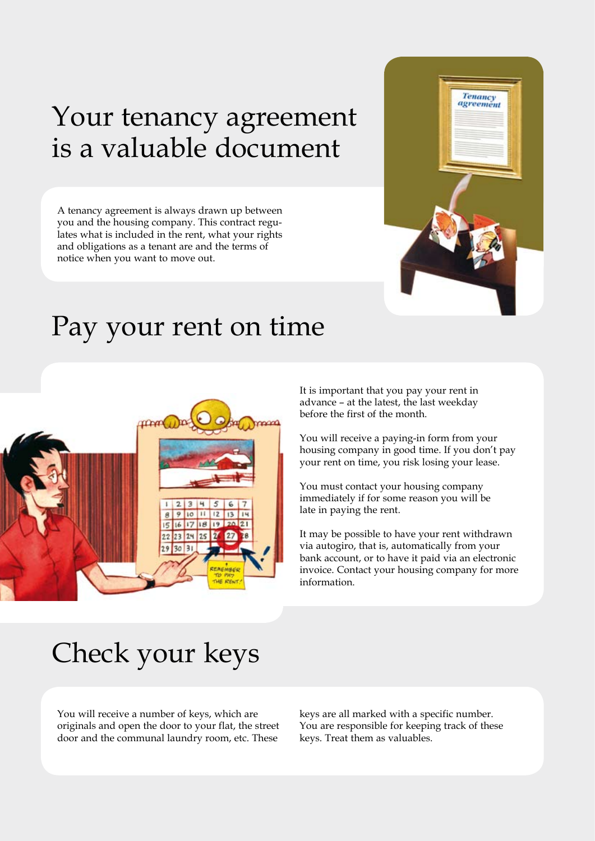#### Your tenancy agreement is a valuable document

A tenancy agreement is always drawn up between you and the housing company. This contract regulates what is included in the rent, what your rights and obligations as a tenant are and the terms of notice when you want to move out.



#### Pay your rent on time



It is important that you pay your rent in advance – at the latest, the last weekday before the first of the month.

You will receive a paying-in form from your housing company in good time. If you don't pay your rent on time, you risk losing your lease.

You must contact your housing company immediately if for some reason you will be late in paying the rent.

It may be possible to have your rent withdrawn via autogiro, that is, automatically from your bank account, or to have it paid via an electronic invoice. Contact your housing company for more information.

# Check your keys

You will receive a number of keys, which are originals and open the door to your flat, the street door and the communal laundry room, etc. These

keys are all marked with a specific number. You are responsible for keeping track of these keys. Treat them as valuables.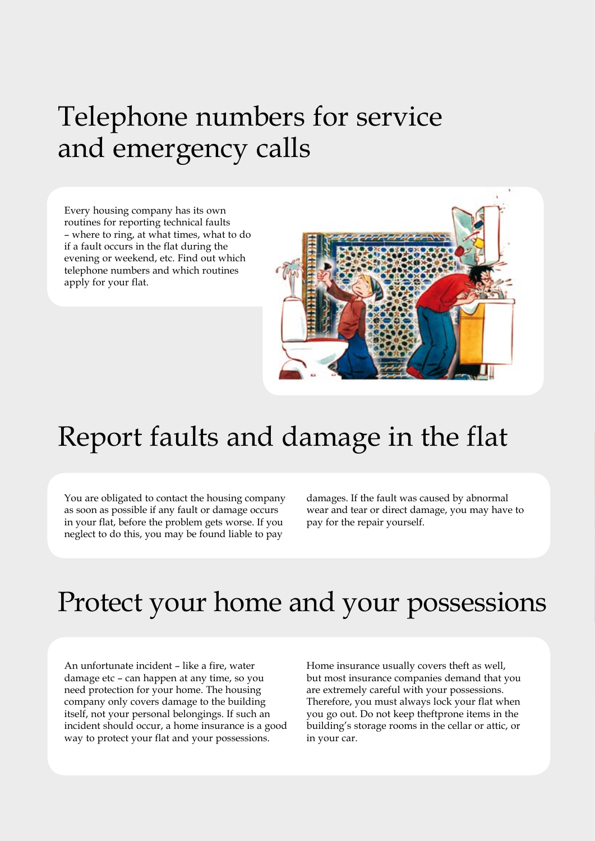### Telephone numbers for service and emergency calls

Every housing company has its own routines for reporting technical faults – where to ring, at what times, what to do if a fault occurs in the flat during the evening or weekend, etc. Find out which telephone numbers and which routines apply for your flat.



# Report faults and damage in the flat

You are obligated to contact the housing company as soon as possible if any fault or damage occurs in your flat, before the problem gets worse. If you neglect to do this, you may be found liable to pay

damages. If the fault was caused by abnormal wear and tear or direct damage, you may have to pay for the repair yourself.

# Protect your home and your possessions

An unfortunate incident – like a fire, water damage etc – can happen at any time, so you need protection for your home. The housing company only covers damage to the building itself, not your personal belongings. If such an incident should occur, a home insurance is a good way to protect your flat and your possessions.

Home insurance usually covers theft as well, but most insurance companies demand that you are extremely careful with your possessions. Therefore, you must always lock your flat when you go out. Do not keep theftprone items in the building's storage rooms in the cellar or attic, or in your car.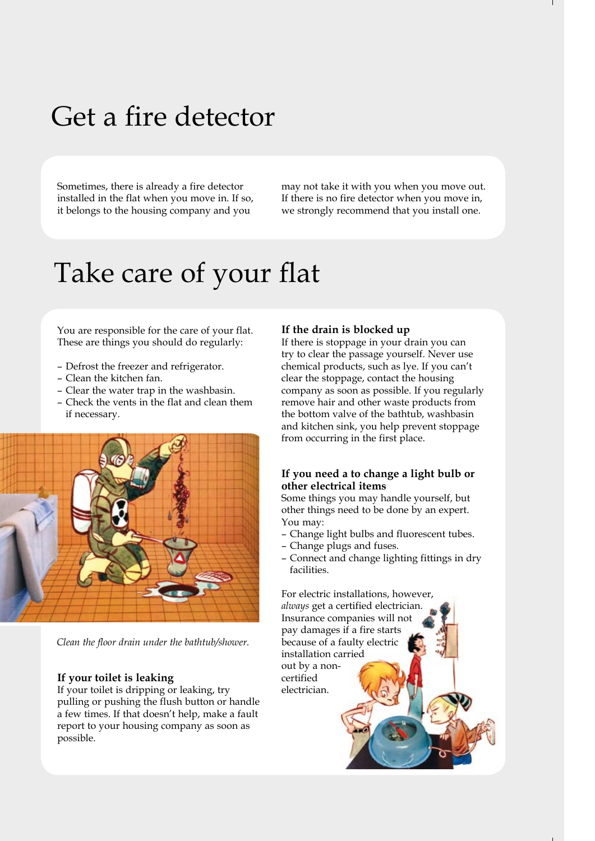#### Get a fire detector

Sometimes, there is already a fire detector installed in the flat when you move in. If so, it belongs to the housing company and you

may not take it with you when you move out. If there is no fire detector when you move in, we strongly recommend that you install one.

# Take care of your flat

You are responsible for the care of your flat. These are things you should do regularly:

- Defrost the freezer and refrigerator.
- Clean the kitchen fan.
- Clear the water trap in the washbasin.
- Check the vents in the flat and clean them if necessary.



*Clean the floor drain under the bathtub/shower.*

#### **If your toilet is leaking**

If your toilet is dripping or leaking, try pulling or pushing the flush button or handle a few times. If that doesn't help, make a fault report to your housing company as soon as possible.

#### **If the drain is blocked up**

If there is stoppage in your drain you can try to clear the passage yourself. Never use chemical products, such as lye. If you can't clear the stoppage, contact the housing company as soon as possible. If you regularly remove hair and other waste products from the bottom valve of the bathtub, washbasin and kitchen sink, you help prevent stoppage from occurring in the first place.

#### **If you need a to change a light bulb or other electrical items**

Some things you may handle yourself, but other things need to be done by an expert. You may:

- Change light bulbs and fluorescent tubes.
- Change plugs and fuses.
- Connect and change lighting fittings in dry facilities.

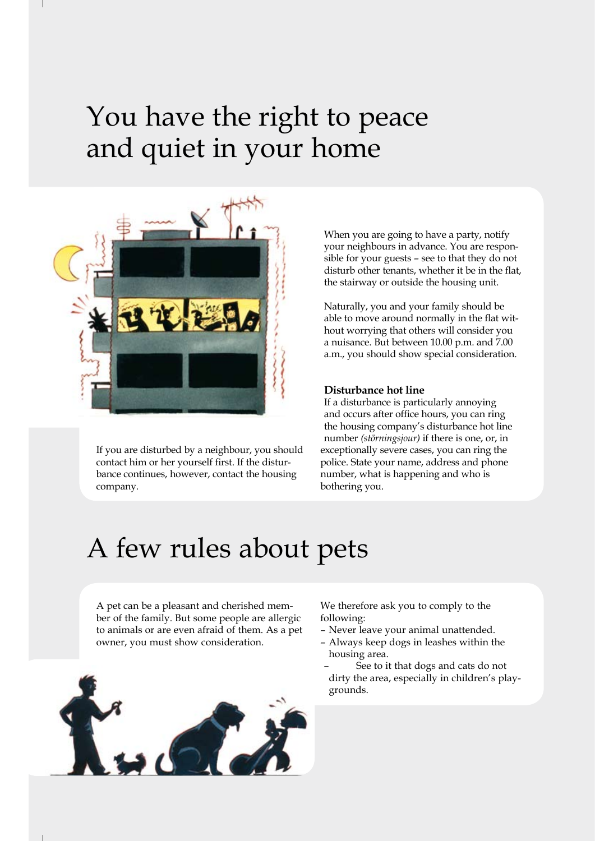### You have the right to peace and quiet in your home



If you are disturbed by a neighbour, you should contact him or her yourself first. If the disturbance continues, however, contact the housing company.

When you are going to have a party, notify your neighbours in advance. You are responsible for your guests – see to that they do not disturb other tenants, whether it be in the flat, the stairway or outside the housing unit.

Naturally, you and your family should be able to move around normally in the flat without worrying that others will consider you a nuisance. But between 10.00 p.m. and 7.00 a.m., you should show special consideration.

#### **Disturbance hot line**

If a disturbance is particularly annoying and occurs after office hours, you can ring the housing company's disturbance hot line number *(störningsjour)* if there is one, or, in exceptionally severe cases, you can ring the police. State your name, address and phone number, what is happening and who is bothering you.

### A few rules about pets

A pet can be a pleasant and cherished member of the family. But some people are allergic to animals or are even afraid of them. As a pet owner, you must show consideration.



We therefore ask you to comply to the following:

- Never leave your animal unattended.
- Always keep dogs in leashes within the housing area.
- See to it that dogs and cats do not dirty the area, especially in children's playgrounds.